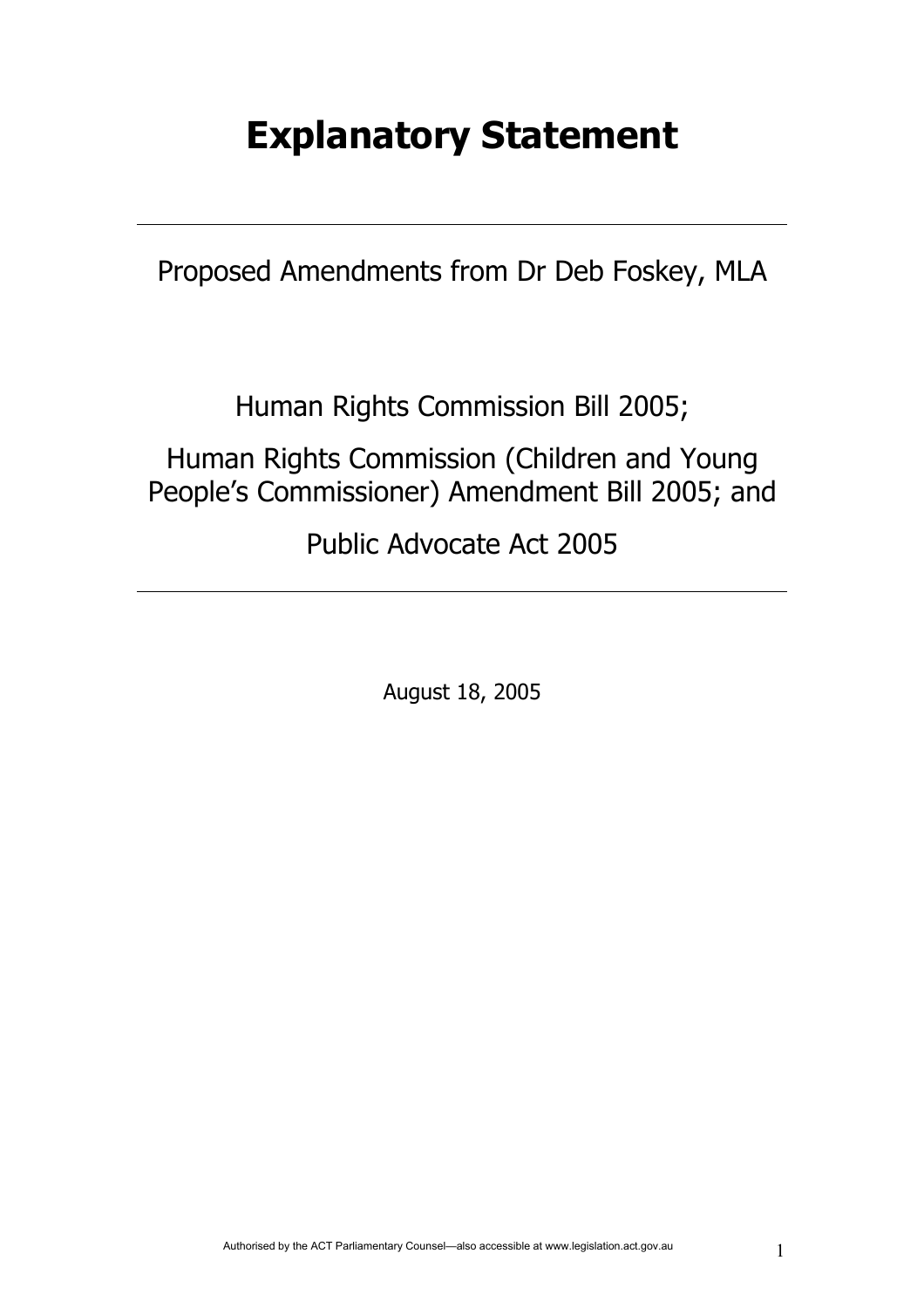# **Explanatory Statement**

Proposed Amendments from Dr Deb Foskey, MLA

Human Rights Commission Bill 2005;

Human Rights Commission (Children and Young People's Commissioner) Amendment Bill 2005; and

Public Advocate Act 2005

August 18, 2005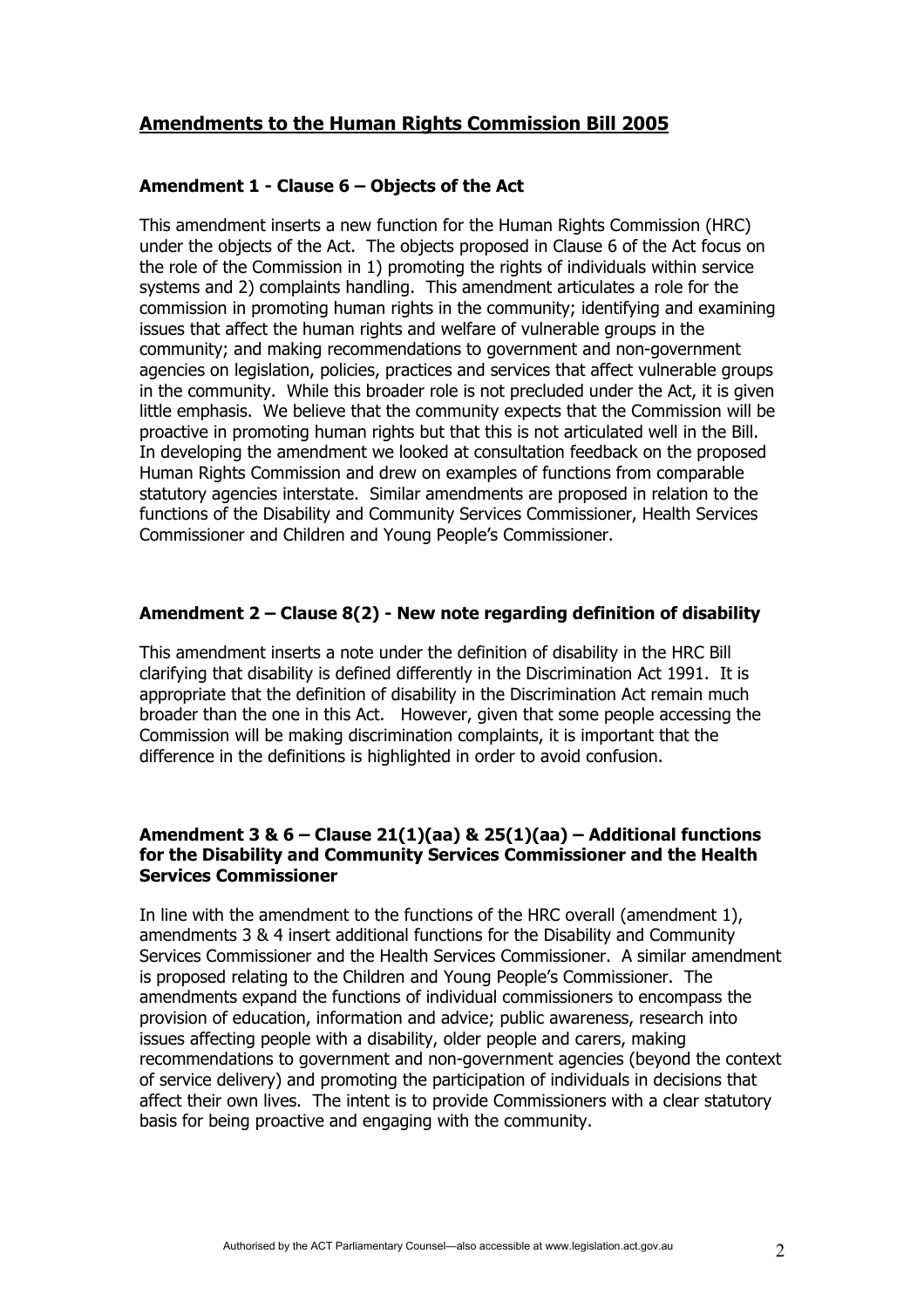## **Amendments to the Human Rights Commission Bill 2005**

## **Amendment 1 - Clause 6 – Objects of the Act**

This amendment inserts a new function for the Human Rights Commission (HRC) under the objects of the Act. The objects proposed in Clause 6 of the Act focus on the role of the Commission in 1) promoting the rights of individuals within service systems and 2) complaints handling. This amendment articulates a role for the commission in promoting human rights in the community; identifying and examining issues that affect the human rights and welfare of vulnerable groups in the community; and making recommendations to government and non-government agencies on legislation, policies, practices and services that affect vulnerable groups in the community. While this broader role is not precluded under the Act, it is given little emphasis. We believe that the community expects that the Commission will be proactive in promoting human rights but that this is not articulated well in the Bill. In developing the amendment we looked at consultation feedback on the proposed Human Rights Commission and drew on examples of functions from comparable statutory agencies interstate. Similar amendments are proposed in relation to the functions of the Disability and Community Services Commissioner, Health Services Commissioner and Children and Young People's Commissioner.

## **Amendment 2 – Clause 8(2) - New note regarding definition of disability**

This amendment inserts a note under the definition of disability in the HRC Bill clarifying that disability is defined differently in the Discrimination Act 1991. It is appropriate that the definition of disability in the Discrimination Act remain much broader than the one in this Act. However, given that some people accessing the Commission will be making discrimination complaints, it is important that the difference in the definitions is highlighted in order to avoid confusion.

#### **Amendment 3 & 6 – Clause 21(1)(aa) & 25(1)(aa) – Additional functions for the Disability and Community Services Commissioner and the Health Services Commissioner**

In line with the amendment to the functions of the HRC overall (amendment 1), amendments 3 & 4 insert additional functions for the Disability and Community Services Commissioner and the Health Services Commissioner. A similar amendment is proposed relating to the Children and Young People's Commissioner. The amendments expand the functions of individual commissioners to encompass the provision of education, information and advice; public awareness, research into issues affecting people with a disability, older people and carers, making recommendations to government and non-government agencies (beyond the context of service delivery) and promoting the participation of individuals in decisions that affect their own lives. The intent is to provide Commissioners with a clear statutory basis for being proactive and engaging with the community.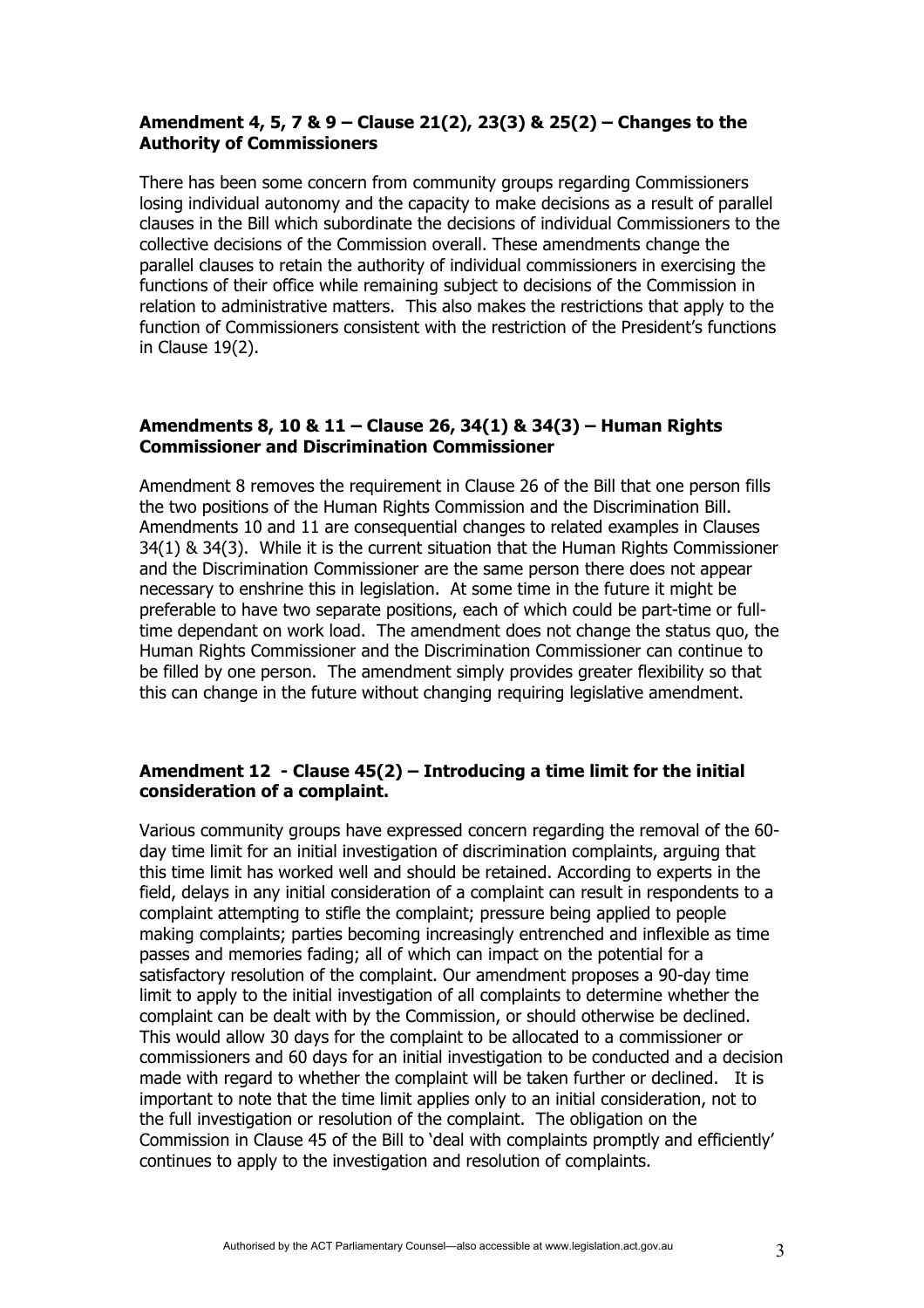## **Amendment 4, 5, 7 & 9 – Clause 21(2), 23(3) & 25(2) – Changes to the Authority of Commissioners**

There has been some concern from community groups regarding Commissioners losing individual autonomy and the capacity to make decisions as a result of parallel clauses in the Bill which subordinate the decisions of individual Commissioners to the collective decisions of the Commission overall. These amendments change the parallel clauses to retain the authority of individual commissioners in exercising the functions of their office while remaining subject to decisions of the Commission in relation to administrative matters. This also makes the restrictions that apply to the function of Commissioners consistent with the restriction of the President's functions in Clause 19(2).

#### **Amendments 8, 10 & 11 – Clause 26, 34(1) & 34(3) – Human Rights Commissioner and Discrimination Commissioner**

Amendment 8 removes the requirement in Clause 26 of the Bill that one person fills the two positions of the Human Rights Commission and the Discrimination Bill. Amendments 10 and 11 are consequential changes to related examples in Clauses 34(1) & 34(3). While it is the current situation that the Human Rights Commissioner and the Discrimination Commissioner are the same person there does not appear necessary to enshrine this in legislation. At some time in the future it might be preferable to have two separate positions, each of which could be part-time or fulltime dependant on work load. The amendment does not change the status quo, the Human Rights Commissioner and the Discrimination Commissioner can continue to be filled by one person. The amendment simply provides greater flexibility so that this can change in the future without changing requiring legislative amendment.

#### **Amendment 12 - Clause 45(2) – Introducing a time limit for the initial consideration of a complaint.**

Various community groups have expressed concern regarding the removal of the 60 day time limit for an initial investigation of discrimination complaints, arguing that this time limit has worked well and should be retained. According to experts in the field, delays in any initial consideration of a complaint can result in respondents to a complaint attempting to stifle the complaint; pressure being applied to people making complaints; parties becoming increasingly entrenched and inflexible as time passes and memories fading; all of which can impact on the potential for a satisfactory resolution of the complaint. Our amendment proposes a 90-day time limit to apply to the initial investigation of all complaints to determine whether the complaint can be dealt with by the Commission, or should otherwise be declined. This would allow 30 days for the complaint to be allocated to a commissioner or commissioners and 60 days for an initial investigation to be conducted and a decision made with regard to whether the complaint will be taken further or declined. It is important to note that the time limit applies only to an initial consideration, not to the full investigation or resolution of the complaint. The obligation on the Commission in Clause 45 of the Bill to 'deal with complaints promptly and efficiently' continues to apply to the investigation and resolution of complaints.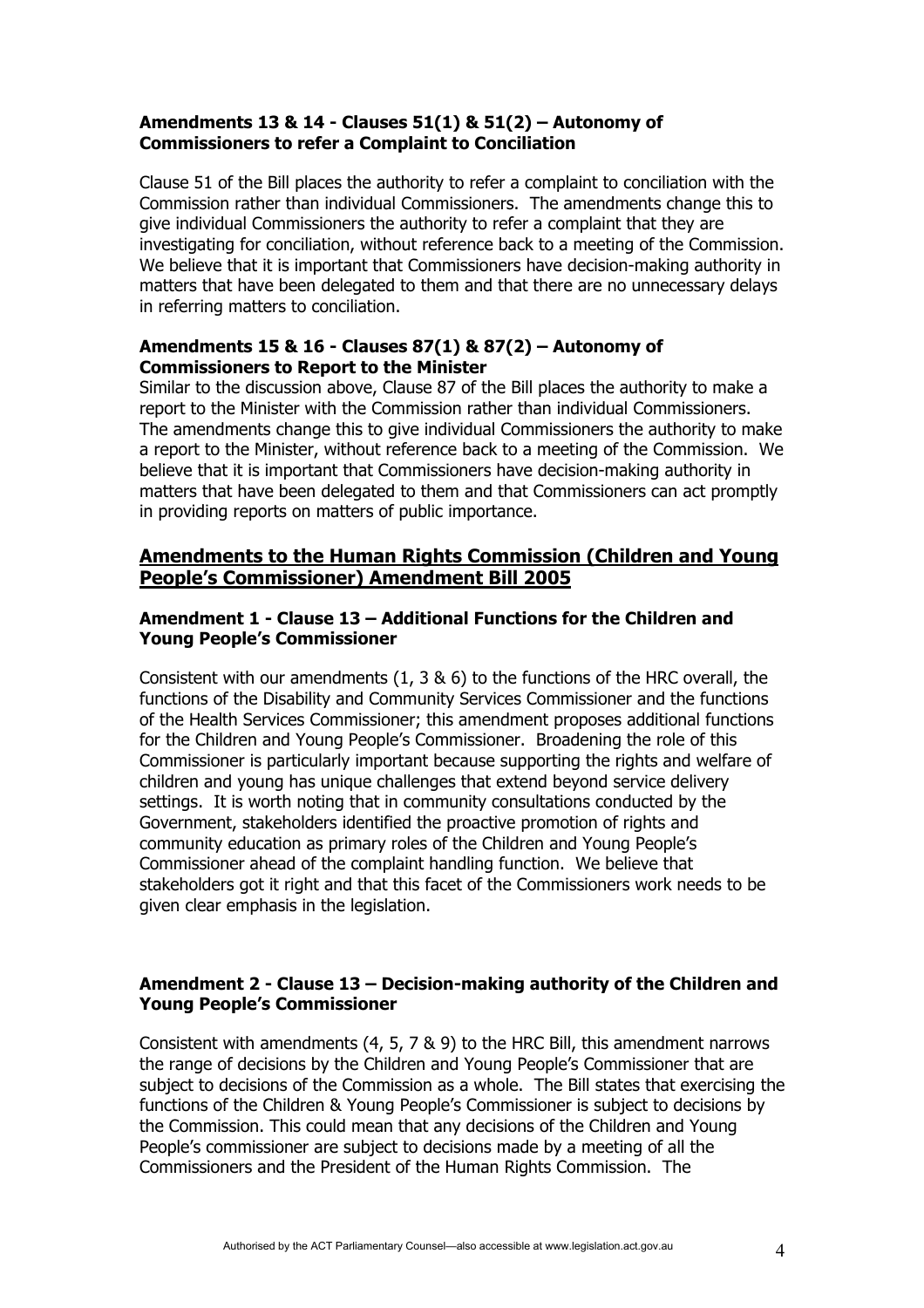## **Amendments 13 & 14 - Clauses 51(1) & 51(2) – Autonomy of Commissioners to refer a Complaint to Conciliation**

Clause 51 of the Bill places the authority to refer a complaint to conciliation with the Commission rather than individual Commissioners. The amendments change this to give individual Commissioners the authority to refer a complaint that they are investigating for conciliation, without reference back to a meeting of the Commission. We believe that it is important that Commissioners have decision-making authority in matters that have been delegated to them and that there are no unnecessary delays in referring matters to conciliation.

## **Amendments 15 & 16 - Clauses 87(1) & 87(2) – Autonomy of Commissioners to Report to the Minister**

Similar to the discussion above, Clause 87 of the Bill places the authority to make a report to the Minister with the Commission rather than individual Commissioners. The amendments change this to give individual Commissioners the authority to make a report to the Minister, without reference back to a meeting of the Commission. We believe that it is important that Commissioners have decision-making authority in matters that have been delegated to them and that Commissioners can act promptly in providing reports on matters of public importance.

## **Amendments to the Human Rights Commission (Children and Young People's Commissioner) Amendment Bill 2005**

## **Amendment 1 - Clause 13 – Additional Functions for the Children and Young People's Commissioner**

Consistent with our amendments (1, 3 & 6) to the functions of the HRC overall, the functions of the Disability and Community Services Commissioner and the functions of the Health Services Commissioner; this amendment proposes additional functions for the Children and Young People's Commissioner. Broadening the role of this Commissioner is particularly important because supporting the rights and welfare of children and young has unique challenges that extend beyond service delivery settings. It is worth noting that in community consultations conducted by the Government, stakeholders identified the proactive promotion of rights and community education as primary roles of the Children and Young People's Commissioner ahead of the complaint handling function. We believe that stakeholders got it right and that this facet of the Commissioners work needs to be given clear emphasis in the legislation.

## **Amendment 2 - Clause 13 – Decision-making authority of the Children and Young People's Commissioner**

Consistent with amendments (4, 5, 7 & 9) to the HRC Bill, this amendment narrows the range of decisions by the Children and Young People's Commissioner that are subject to decisions of the Commission as a whole. The Bill states that exercising the functions of the Children & Young People's Commissioner is subject to decisions by the Commission. This could mean that any decisions of the Children and Young People's commissioner are subject to decisions made by a meeting of all the Commissioners and the President of the Human Rights Commission. The